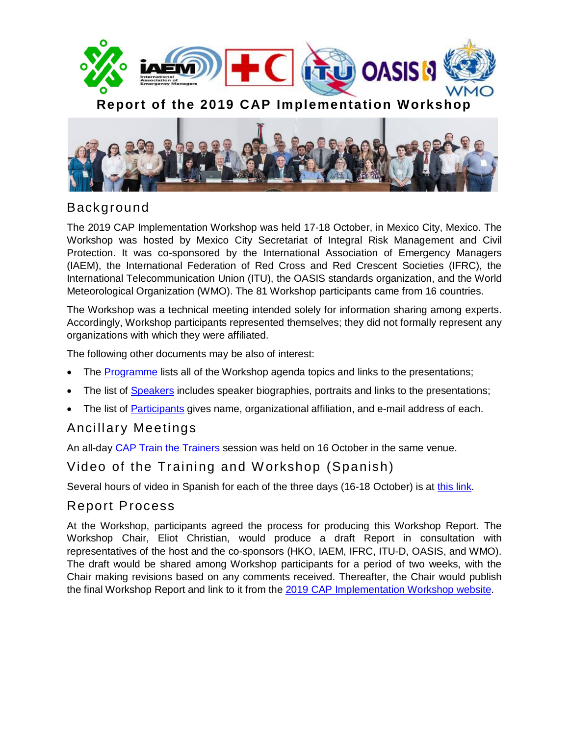



# Background

The 2019 CAP Implementation Workshop was held 17-18 October, in Mexico City, Mexico. The Workshop was hosted by Mexico City Secretariat of Integral Risk Management and Civil Protection. It was co-sponsored by the International Association of Emergency Managers (IAEM), the International Federation of Red Cross and Red Crescent Societies (IFRC), the International Telecommunication Union (ITU), the OASIS standards organization, and the World Meteorological Organization (WMO). The 81 Workshop participants came from 16 countries.

The Workshop was a technical meeting intended solely for information sharing among experts. Accordingly, Workshop participants represented themselves; they did not formally represent any organizations with which they were affiliated.

The following other documents may be also of interest:

- The **Programme** lists all of the Workshop agenda topics and links to the presentations;
- The list of [Speakers](https://preparecenter.org/resources/cap-workshop-2019-speakers) includes speaker biographies, portraits and links to the presentations;
- The list of [Participants](https://preparecenter.org/resources/cap-workshop-2019-participants) gives name, organizational affiliation, and e-mail address of each.

### Ancillary Meetings

An all-day [CAP Train the Trainers](http://www.preparecenter.org/resources/cap-workshop-2019-training) session was held on 16 October in the same venue.

# Video of the Training and W orkshop (Spanish)

Several hours of video in Spanish for each of the three days (16-18 October) is at [this link.](https://mega.nz/#F!u9lUASBL!PBxlRlnsrN4IZ5Vo9QROLg)

### Report Process

At the Workshop, participants agreed the process for producing this Workshop Report. The Workshop Chair, Eliot Christian, would produce a draft Report in consultation with representatives of the host and the co-sponsors (HKO, IAEM, IFRC, ITU-D, OASIS, and WMO). The draft would be shared among Workshop participants for a period of two weeks, with the Chair making revisions based on any comments received. Thereafter, the Chair would publish the final Workshop Report and link to it from the 2019 [CAP Implementation Workshop website.](https://www.preparecenter.org/activities/common-alerting-protocol-workshop-2019)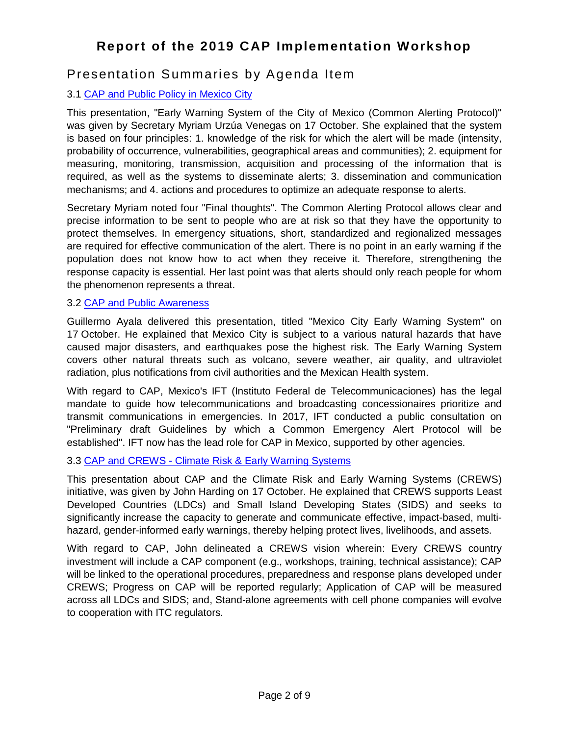### Presentation Summaries by Agenda Item

### 3.1 [CAP and Public Policy in Mexico City](https://www.preparecenter.org/resources/cap-workshop-2019-cap-and-public-policy-cdmx)

This presentation, "Early Warning System of the City of Mexico (Common Alerting Protocol)" was given by Secretary Myriam Urzúa Venegas on 17 October. She explained that the system is based on four principles: 1. knowledge of the risk for which the alert will be made (intensity, probability of occurrence, vulnerabilities, geographical areas and communities); 2. equipment for measuring, monitoring, transmission, acquisition and processing of the information that is required, as well as the systems to disseminate alerts; 3. dissemination and communication mechanisms; and 4. actions and procedures to optimize an adequate response to alerts.

Secretary Myriam noted four "Final thoughts". The Common Alerting Protocol allows clear and precise information to be sent to people who are at risk so that they have the opportunity to protect themselves. In emergency situations, short, standardized and regionalized messages are required for effective communication of the alert. There is no point in an early warning if the population does not know how to act when they receive it. Therefore, strengthening the response capacity is essential. Her last point was that alerts should only reach people for whom the phenomenon represents a threat.

### 3.2 [CAP and Public Awareness](https://www.preparecenter.org/resources/cap-workshop-2019-cap-and-public-awareness)

Guillermo Ayala delivered this presentation, titled "Mexico City Early Warning System" on 17 October. He explained that Mexico City is subject to a various natural hazards that have caused major disasters, and earthquakes pose the highest risk. The Early Warning System covers other natural threats such as volcano, severe weather, air quality, and ultraviolet radiation, plus notifications from civil authorities and the Mexican Health system.

With regard to CAP, Mexico's IFT (Instituto Federal de Telecommunicaciones) has the legal mandate to guide how telecommunications and broadcasting concessionaires prioritize and transmit communications in emergencies. In 2017, IFT conducted a public consultation on "Preliminary draft Guidelines by which a Common Emergency Alert Protocol will be established". IFT now has the lead role for CAP in Mexico, supported by other agencies.

### 3.3 CAP and CREWS - [Climate Risk & Early Warning Systems](https://www.preparecenter.org/resources/cap-workshop-2019-cap-and-crews)

This presentation about CAP and the Climate Risk and Early Warning Systems (CREWS) initiative, was given by John Harding on 17 October. He explained that CREWS supports Least Developed Countries (LDCs) and Small Island Developing States (SIDS) and seeks to significantly increase the capacity to generate and communicate effective, impact-based, multihazard, gender-informed early warnings, thereby helping protect lives, livelihoods, and assets.

With regard to CAP, John delineated a CREWS vision wherein: Every CREWS country investment will include a CAP component (e.g., workshops, training, technical assistance); CAP will be linked to the operational procedures, preparedness and response plans developed under CREWS; Progress on CAP will be reported regularly; Application of CAP will be measured across all LDCs and SIDS; and, Stand-alone agreements with cell phone companies will evolve to cooperation with ITC regulators.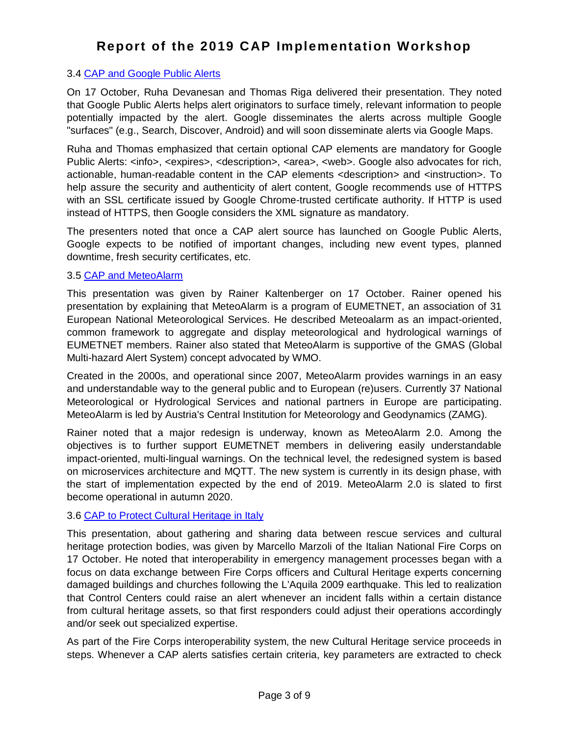#### 3.4 [CAP and Google Public Alerts](https://www.preparecenter.org/resources/cap-workshop-2019-google-public-alerts)

On 17 October, Ruha Devanesan and Thomas Riga delivered their presentation. They noted that Google Public Alerts helps alert originators to surface timely, relevant information to people potentially impacted by the alert. Google disseminates the alerts across multiple Google "surfaces" (e.g., Search, Discover, Android) and will soon disseminate alerts via Google Maps.

Ruha and Thomas emphasized that certain optional CAP elements are mandatory for Google Public Alerts: <info>, <expires>, <description>, <area>, <web>. Google also advocates for rich, actionable, human-readable content in the CAP elements <description> and <instruction>. To help assure the security and authenticity of alert content, Google recommends use of HTTPS with an SSL certificate issued by Google Chrome-trusted certificate authority. If HTTP is used instead of HTTPS, then Google considers the XML signature as mandatory.

The presenters noted that once a CAP alert source has launched on Google Public Alerts, Google expects to be notified of important changes, including new event types, planned downtime, fresh security certificates, etc.

#### 3.5 [CAP and MeteoAlarm](https://www.preparecenter.org/resources/cap-workshop-2019-meteoalarm)

This presentation was given by Rainer Kaltenberger on 17 October. Rainer opened his presentation by explaining that MeteoAlarm is a program of EUMETNET, an association of 31 European National Meteorological Services. He described Meteoalarm as an impact-oriented, common framework to aggregate and display meteorological and hydrological warnings of EUMETNET members. Rainer also stated that MeteoAlarm is supportive of the GMAS (Global Multi-hazard Alert System) concept advocated by WMO.

Created in the 2000s, and operational since 2007, MeteoAlarm provides warnings in an easy and understandable way to the general public and to European (re)users. Currently 37 National Meteorological or Hydrological Services and national partners in Europe are participating. MeteoAlarm is led by Austria's Central Institution for Meteorology and Geodynamics (ZAMG).

Rainer noted that a major redesign is underway, known as MeteoAlarm 2.0. Among the objectives is to further support EUMETNET members in delivering easily understandable impact-oriented, multi-lingual warnings. On the technical level, the redesigned system is based on microservices architecture and MQTT. The new system is currently in its design phase, with the start of implementation expected by the end of 2019. MeteoAlarm 2.0 is slated to first become operational in autumn 2020.

#### 3.6 [CAP to Protect Cultural Heritage in Italy](https://www.preparecenter.org/resources/cap-workshop-2019-italy)

This presentation, about gathering and sharing data between rescue services and cultural heritage protection bodies, was given by Marcello Marzoli of the Italian National Fire Corps on 17 October. He noted that interoperability in emergency management processes began with a focus on data exchange between Fire Corps officers and Cultural Heritage experts concerning damaged buildings and churches following the L'Aquila 2009 earthquake. This led to realization that Control Centers could raise an alert whenever an incident falls within a certain distance from cultural heritage assets, so that first responders could adjust their operations accordingly and/or seek out specialized expertise.

As part of the Fire Corps interoperability system, the new Cultural Heritage service proceeds in steps. Whenever a CAP alerts satisfies certain criteria, key parameters are extracted to check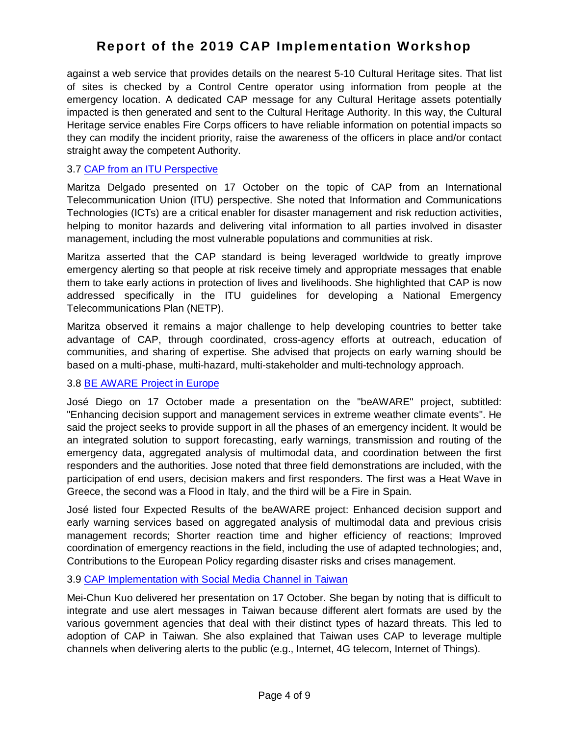against a web service that provides details on the nearest 5-10 Cultural Heritage sites. That list of sites is checked by a Control Centre operator using information from people at the emergency location. A dedicated CAP message for any Cultural Heritage assets potentially impacted is then generated and sent to the Cultural Heritage Authority. In this way, the Cultural Heritage service enables Fire Corps officers to have reliable information on potential impacts so they can modify the incident priority, raise the awareness of the officers in place and/or contact straight away the competent Authority.

#### 3.7 [CAP from an ITU Perspective](https://www.preparecenter.org/resources/cap-workshop-2019-itu)

Maritza Delgado presented on 17 October on the topic of CAP from an International Telecommunication Union (ITU) perspective. She noted that Information and Communications Technologies (ICTs) are a critical enabler for disaster management and risk reduction activities, helping to monitor hazards and delivering vital information to all parties involved in disaster management, including the most vulnerable populations and communities at risk.

Maritza asserted that the CAP standard is being leveraged worldwide to greatly improve emergency alerting so that people at risk receive timely and appropriate messages that enable them to take early actions in protection of lives and livelihoods. She highlighted that CAP is now addressed specifically in the ITU guidelines for developing a National Emergency Telecommunications Plan (NETP).

Maritza observed it remains a major challenge to help developing countries to better take advantage of CAP, through coordinated, cross-agency efforts at outreach, education of communities, and sharing of expertise. She advised that projects on early warning should be based on a multi-phase, multi-hazard, multi-stakeholder and multi-technology approach.

### 3.8 [BE AWARE Project in Europe](https://www.preparecenter.org/resources/cap-workshop-2019-be-aware-project)

José Diego on 17 October made a presentation on the "beAWARE" project, subtitled: "Enhancing decision support and management services in extreme weather climate events". He said the project seeks to provide support in all the phases of an emergency incident. It would be an integrated solution to support forecasting, early warnings, transmission and routing of the emergency data, aggregated analysis of multimodal data, and coordination between the first responders and the authorities. Jose noted that three field demonstrations are included, with the participation of end users, decision makers and first responders. The first was a Heat Wave in Greece, the second was a Flood in Italy, and the third will be a Fire in Spain.

José listed four Expected Results of the beAWARE project: Enhanced decision support and early warning services based on aggregated analysis of multimodal data and previous crisis management records; Shorter reaction time and higher efficiency of reactions; Improved coordination of emergency reactions in the field, including the use of adapted technologies; and, Contributions to the European Policy regarding disaster risks and crises management.

#### 3.9 [CAP Implementation with Social Media Channel in Taiwan](https://www.preparecenter.org/resources/cap-workshop-2019-social-media-channel-taiwan)

Mei-Chun Kuo delivered her presentation on 17 October. She began by noting that is difficult to integrate and use alert messages in Taiwan because different alert formats are used by the various government agencies that deal with their distinct types of hazard threats. This led to adoption of CAP in Taiwan. She also explained that Taiwan uses CAP to leverage multiple channels when delivering alerts to the public (e.g., Internet, 4G telecom, Internet of Things).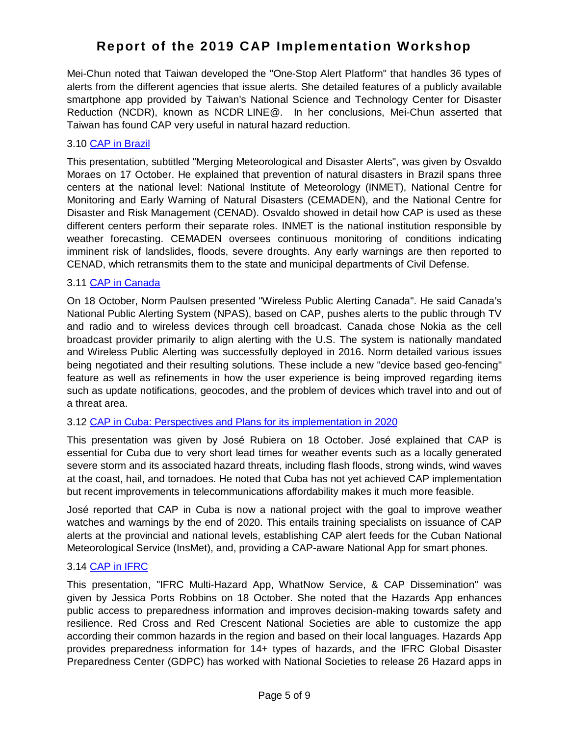Mei-Chun noted that Taiwan developed the "One-Stop Alert Platform" that handles 36 types of alerts from the different agencies that issue alerts. She detailed features of a publicly available smartphone app provided by Taiwan's National Science and Technology Center for Disaster Reduction (NCDR), known as NCDR LINE@. In her conclusions, Mei-Chun asserted that Taiwan has found CAP very useful in natural hazard reduction.

#### 3.10 [CAP in Brazil](https://www.preparecenter.org/resources/cap-workshop-2019-brazil)

This presentation, subtitled "Merging Meteorological and Disaster Alerts", was given by Osvaldo Moraes on 17 October. He explained that prevention of natural disasters in Brazil spans three centers at the national level: National Institute of Meteorology (INMET), National Centre for Monitoring and Early Warning of Natural Disasters (CEMADEN), and the National Centre for Disaster and Risk Management (CENAD). Osvaldo showed in detail how CAP is used as these different centers perform their separate roles. INMET is the national institution responsible by weather forecasting. CEMADEN oversees continuous monitoring of conditions indicating imminent risk of landslides, floods, severe droughts. Any early warnings are then reported to CENAD, which retransmits them to the state and municipal departments of Civil Defense.

#### 3.11 [CAP in Canada](https://www.preparecenter.org/resources/cap-workshop-2019-canada)

On 18 October, Norm Paulsen presented "Wireless Public Alerting Canada". He said Canada's National Public Alerting System (NPAS), based on CAP, pushes alerts to the public through TV and radio and to wireless devices through cell broadcast. Canada chose Nokia as the cell broadcast provider primarily to align alerting with the U.S. The system is nationally mandated and Wireless Public Alerting was successfully deployed in 2016. Norm detailed various issues being negotiated and their resulting solutions. These include a new "device based geo-fencing" feature as well as refinements in how the user experience is being improved regarding items such as update notifications, geocodes, and the problem of devices which travel into and out of a threat area.

#### 3.12 [CAP in Cuba: Perspectives and Plans for its implementation in 2020](https://www.preparecenter.org/resources/cap-workshop-2019-cuba)

This presentation was given by José Rubiera on 18 October. José explained that CAP is essential for Cuba due to very short lead times for weather events such as a locally generated severe storm and its associated hazard threats, including flash floods, strong winds, wind waves at the coast, hail, and tornadoes. He noted that Cuba has not yet achieved CAP implementation but recent improvements in telecommunications affordability makes it much more feasible.

José reported that CAP in Cuba is now a national project with the goal to improve weather watches and warnings by the end of 2020. This entails training specialists on issuance of CAP alerts at the provincial and national levels, establishing CAP alert feeds for the Cuban National Meteorological Service (InsMet), and, providing a CAP-aware National App for smart phones.

#### 3.14 [CAP in IFRC](https://www.preparecenter.org/resources/cap-workshop-2019-ifrc)

This presentation, "IFRC Multi-Hazard App, WhatNow Service, & CAP Dissemination" was given by Jessica Ports Robbins on 18 October. She noted that the Hazards App enhances public access to preparedness information and improves decision-making towards safety and resilience. Red Cross and Red Crescent National Societies are able to customize the app according their common hazards in the region and based on their local languages. Hazards App provides preparedness information for 14+ types of hazards, and the IFRC Global Disaster Preparedness Center (GDPC) has worked with National Societies to release 26 Hazard apps in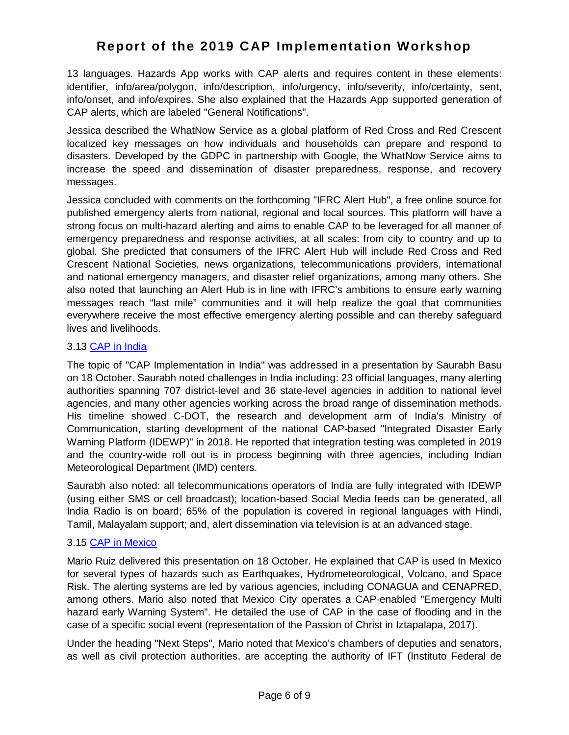13 languages. Hazards App works with CAP alerts and requires content in these elements: identifier, info/area/polygon, info/description, info/urgency, info/severity, info/certainty, sent, info/onset, and info/expires. She also explained that the Hazards App supported generation of CAP alerts, which are labeled "General Notifications".

Jessica described the WhatNow Service as a global platform of Red Cross and Red Crescent localized key messages on how individuals and households can prepare and respond to disasters. Developed by the GDPC in partnership with Google, the WhatNow Service aims to increase the speed and dissemination of disaster preparedness, response, and recovery messages.

Jessica concluded with comments on the forthcoming "IFRC Alert Hub", a free online source for published emergency alerts from national, regional and local sources. This platform will have a strong focus on multi-hazard alerting and aims to enable CAP to be leveraged for all manner of emergency preparedness and response activities, at all scales: from city to country and up to global. She predicted that consumers of the IFRC Alert Hub will include Red Cross and Red Crescent National Societies, news organizations, telecommunications providers, international and national emergency managers, and disaster relief organizations, among many others. She also noted that launching an Alert Hub is in line with IFRC's ambitions to ensure early warning messages reach "last mile" communities and it will help realize the goal that communities everywhere receive the most effective emergency alerting possible and can thereby safeguard lives and livelihoods.

#### 3.13 [CAP in India](https://www.preparecenter.org/resources/cap-workshop-2019-india)

The topic of "CAP Implementation in India" was addressed in a presentation by Saurabh Basu on 18 October. Saurabh noted challenges in India including: 23 official languages, many alerting authorities spanning 707 district-level and 36 state-level agencies in addition to national level agencies, and many other agencies working across the broad range of dissemination methods. His timeline showed C-DOT, the research and development arm of India's Ministry of Communication, starting development of the national CAP-based "Integrated Disaster Early Warning Platform (IDEWP)" in 2018. He reported that integration testing was completed in 2019 and the country-wide roll out is in process beginning with three agencies, including Indian Meteorological Department (IMD) centers.

Saurabh also noted: all telecommunications operators of India are fully integrated with IDEWP (using either SMS or cell broadcast); location-based Social Media feeds can be generated, all India Radio is on board; 65% of the population is covered in regional languages with Hindi, Tamil, Malayalam support; and, alert dissemination via television is at an advanced stage.

#### 3.15 [CAP in Mexico](https://www.preparecenter.org/resources/cap-workshop-2019-mexico)

Mario Ruiz delivered this presentation on 18 October. He explained that CAP is used In Mexico for several types of hazards such as Earthquakes, Hydrometeorological, Volcano, and Space Risk. The alerting systems are led by various agencies, including CONAGUA and CENAPRED, among others. Mario also noted that Mexico City operates a CAP-enabled "Emergency Multi hazard early Warning System". He detailed the use of CAP in the case of flooding and in the case of a specific social event (representation of the Passion of Christ in Iztapalapa, 2017).

Under the heading "Next Steps", Mario noted that Mexico's chambers of deputies and senators, as well as civil protection authorities, are accepting the authority of IFT (Instituto Federal de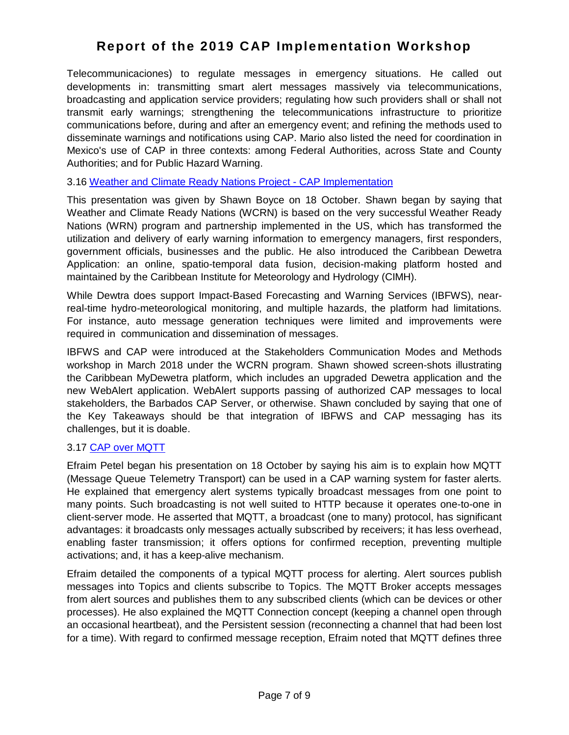Telecommunicaciones) to regulate messages in emergency situations. He called out developments in: transmitting smart alert messages massively via telecommunications, broadcasting and application service providers; regulating how such providers shall or shall not transmit early warnings; strengthening the telecommunications infrastructure to prioritize communications before, during and after an emergency event; and refining the methods used to disseminate warnings and notifications using CAP. Mario also listed the need for coordination in Mexico's use of CAP in three contexts: among Federal Authorities, across State and County Authorities; and for Public Hazard Warning.

#### 3.16 [Weather and Climate Ready Nations Project -](https://www.preparecenter.org/resources/cap-workshop-2019-weather-and-climate-ready-nations) CAP Implementation

This presentation was given by Shawn Boyce on 18 October. Shawn began by saying that Weather and Climate Ready Nations (WCRN) is based on the very successful Weather Ready Nations (WRN) program and partnership implemented in the US, which has transformed the utilization and delivery of early warning information to emergency managers, first responders, government officials, businesses and the public. He also introduced the Caribbean Dewetra Application: an online, spatio-temporal data fusion, decision-making platform hosted and maintained by the Caribbean Institute for Meteorology and Hydrology (CIMH).

While Dewtra does support Impact-Based Forecasting and Warning Services (IBFWS), nearreal-time hydro-meteorological monitoring, and multiple hazards, the platform had limitations. For instance, auto message generation techniques were limited and improvements were required in communication and dissemination of messages.

IBFWS and CAP were introduced at the Stakeholders Communication Modes and Methods workshop in March 2018 under the WCRN program. Shawn showed screen-shots illustrating the Caribbean MyDewetra platform, which includes an upgraded Dewetra application and the new WebAlert application. WebAlert supports passing of authorized CAP messages to local stakeholders, the Barbados CAP Server, or otherwise. Shawn concluded by saying that one of the Key Takeaways should be that integration of IBFWS and CAP messaging has its challenges, but it is doable.

#### 3.17 [CAP over MQTT](https://www.preparecenter.org/resources/cap-workshop-2019-mqtt)

Efraim Petel began his presentation on 18 October by saying his aim is to explain how MQTT (Message Queue Telemetry Transport) can be used in a CAP warning system for faster alerts. He explained that emergency alert systems typically broadcast messages from one point to many points. Such broadcasting is not well suited to HTTP because it operates one-to-one in client-server mode. He asserted that MQTT, a broadcast (one to many) protocol, has significant advantages: it broadcasts only messages actually subscribed by receivers; it has less overhead, enabling faster transmission; it offers options for confirmed reception, preventing multiple activations; and, it has a keep-alive mechanism.

Efraim detailed the components of a typical MQTT process for alerting. Alert sources publish messages into Topics and clients subscribe to Topics. The MQTT Broker accepts messages from alert sources and publishes them to any subscribed clients (which can be devices or other processes). He also explained the MQTT Connection concept (keeping a channel open through an occasional heartbeat), and the Persistent session (reconnecting a channel that had been lost for a time). With regard to confirmed message reception, Efraim noted that MQTT defines three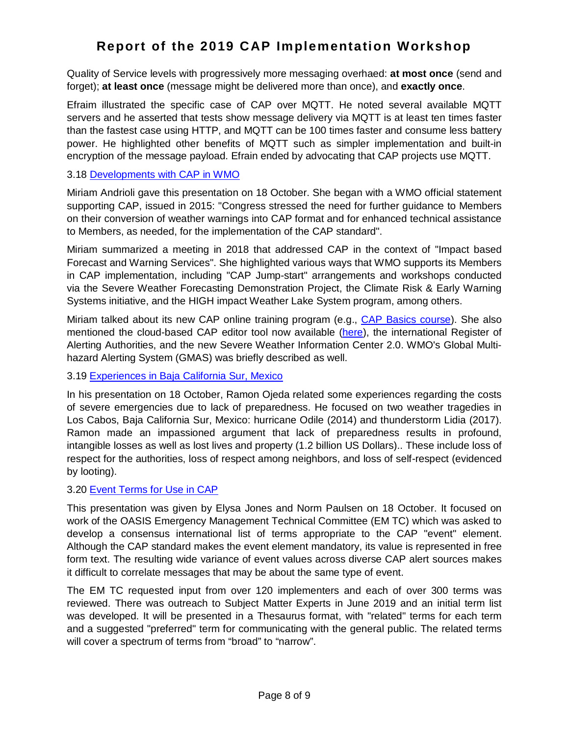Quality of Service levels with progressively more messaging overhaed: **at most once** (send and forget); **at least once** (message might be delivered more than once), and **exactly once**.

Efraim illustrated the specific case of CAP over MQTT. He noted several available MQTT servers and he asserted that tests show message delivery via MQTT is at least ten times faster than the fastest case using HTTP, and MQTT can be 100 times faster and consume less battery power. He highlighted other benefits of MQTT such as simpler implementation and built-in encryption of the message payload. Efrain ended by advocating that CAP projects use MQTT.

#### 3.18 [Developments with CAP in WMO](https://www.preparecenter.org/resources/cap-workshop-2019-wmo)

Miriam Andrioli gave this presentation on 18 October. She began with a WMO official statement supporting CAP, issued in 2015: "Congress stressed the need for further guidance to Members on their conversion of weather warnings into CAP format and for enhanced technical assistance to Members, as needed, for the implementation of the CAP standard".

Miriam summarized a meeting in 2018 that addressed CAP in the context of "Impact based Forecast and Warning Services". She highlighted various ways that WMO supports its Members in CAP implementation, including "CAP Jump-start" arrangements and workshops conducted via the Severe Weather Forecasting Demonstration Project, the Climate Risk & Early Warning Systems initiative, and the HIGH impact Weather Lake System program, among others.

Miriam talked about its new CAP online training program (e.g., [CAP Basics course\)](https://etrp.wmo.int/course/index.php?categoryid=51). She also mentioned the cloud-based CAP editor tool now available ([here\)](https://cap.alert-hub.org/), the international Register of Alerting Authorities, and the new Severe Weather Information Center 2.0. WMO's Global Multihazard Alerting System (GMAS) was briefly described as well.

#### 3.19 [Experiences in Baja California Sur, Mexico](https://www.preparecenter.org/resources/cap-workshop-2019-experiences-baja-california-sur)

In his presentation on 18 October, Ramon Ojeda related some experiences regarding the costs of severe emergencies due to lack of preparedness. He focused on two weather tragedies in Los Cabos, Baja California Sur, Mexico: hurricane Odile (2014) and thunderstorm Lidia (2017). Ramon made an impassioned argument that lack of preparedness results in profound, intangible losses as well as lost lives and property (1.2 billion US Dollars).. These include loss of respect for the authorities, loss of respect among neighbors, and loss of self-respect (evidenced by looting).

#### 3.20 [Event Terms for Use in CAP](https://www.preparecenter.org/resources/cap-workshop-2019-event-terms)

This presentation was given by Elysa Jones and Norm Paulsen on 18 October. It focused on work of the OASIS Emergency Management Technical Committee (EM TC) which was asked to develop a consensus international list of terms appropriate to the CAP "event" element. Although the CAP standard makes the event element mandatory, its value is represented in free form text. The resulting wide variance of event values across diverse CAP alert sources makes it difficult to correlate messages that may be about the same type of event.

The EM TC requested input from over 120 implementers and each of over 300 terms was reviewed. There was outreach to Subject Matter Experts in June 2019 and an initial term list was developed. It will be presented in a Thesaurus format, with "related" terms for each term and a suggested "preferred" term for communicating with the general public. The related terms will cover a spectrum of terms from "broad" to "narrow".